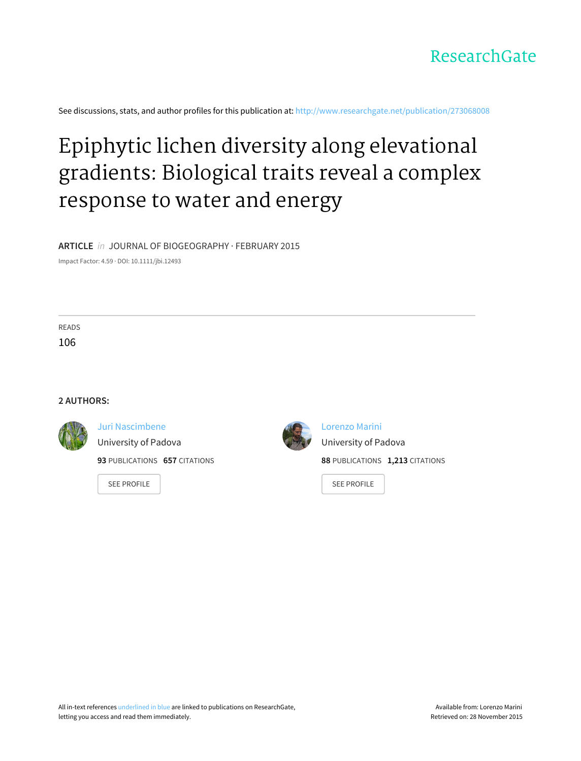

See discussions, stats, and author profiles for this publication at: [http://www.researchgate.net/publication/273068008](http://www.researchgate.net/publication/273068008_Epiphytic_lichen_diversity_along_elevational_gradients_Biological_traits_reveal_a_complex_response_to_water_and_energy?enrichId=rgreq-9a528f57-6f17-4de3-a621-57465df93370&enrichSource=Y292ZXJQYWdlOzI3MzA2ODAwODtBUzoyMDUwNTI1OTA0NjUwMjRAMTQyNTg5OTc1NTE5OA%3D%3D&el=1_x_2)

# Epiphytic lichen diversity along [elevational](http://www.researchgate.net/publication/273068008_Epiphytic_lichen_diversity_along_elevational_gradients_Biological_traits_reveal_a_complex_response_to_water_and_energy?enrichId=rgreq-9a528f57-6f17-4de3-a621-57465df93370&enrichSource=Y292ZXJQYWdlOzI3MzA2ODAwODtBUzoyMDUwNTI1OTA0NjUwMjRAMTQyNTg5OTc1NTE5OA%3D%3D&el=1_x_3) gradients: Biological traits reveal a complex response to water and energy

**ARTICLE** in JOURNAL OF BIOGEOGRAPHY · FEBRUARY 2015

Impact Factor: 4.59 · DOI: 10.1111/jbi.12493

READS

106

## **2 AUTHORS:**

Juri [Nascimbene](http://www.researchgate.net/profile/Juri_Nascimbene?enrichId=rgreq-9a528f57-6f17-4de3-a621-57465df93370&enrichSource=Y292ZXJQYWdlOzI3MzA2ODAwODtBUzoyMDUwNTI1OTA0NjUwMjRAMTQyNTg5OTc1NTE5OA%3D%3D&el=1_x_5) [University](http://www.researchgate.net/institution/University_of_Padova?enrichId=rgreq-9a528f57-6f17-4de3-a621-57465df93370&enrichSource=Y292ZXJQYWdlOzI3MzA2ODAwODtBUzoyMDUwNTI1OTA0NjUwMjRAMTQyNTg5OTc1NTE5OA%3D%3D&el=1_x_6) of Padova

**93** PUBLICATIONS **657** CITATIONS

SEE [PROFILE](http://www.researchgate.net/profile/Juri_Nascimbene?enrichId=rgreq-9a528f57-6f17-4de3-a621-57465df93370&enrichSource=Y292ZXJQYWdlOzI3MzA2ODAwODtBUzoyMDUwNTI1OTA0NjUwMjRAMTQyNTg5OTc1NTE5OA%3D%3D&el=1_x_7)



[Lorenzo](http://www.researchgate.net/profile/Lorenzo_Marini2?enrichId=rgreq-9a528f57-6f17-4de3-a621-57465df93370&enrichSource=Y292ZXJQYWdlOzI3MzA2ODAwODtBUzoyMDUwNTI1OTA0NjUwMjRAMTQyNTg5OTc1NTE5OA%3D%3D&el=1_x_5) Marini [University](http://www.researchgate.net/institution/University_of_Padova?enrichId=rgreq-9a528f57-6f17-4de3-a621-57465df93370&enrichSource=Y292ZXJQYWdlOzI3MzA2ODAwODtBUzoyMDUwNTI1OTA0NjUwMjRAMTQyNTg5OTc1NTE5OA%3D%3D&el=1_x_6) of Padova **88** PUBLICATIONS **1,213** CITATIONS

SEE [PROFILE](http://www.researchgate.net/profile/Lorenzo_Marini2?enrichId=rgreq-9a528f57-6f17-4de3-a621-57465df93370&enrichSource=Y292ZXJQYWdlOzI3MzA2ODAwODtBUzoyMDUwNTI1OTA0NjUwMjRAMTQyNTg5OTc1NTE5OA%3D%3D&el=1_x_7)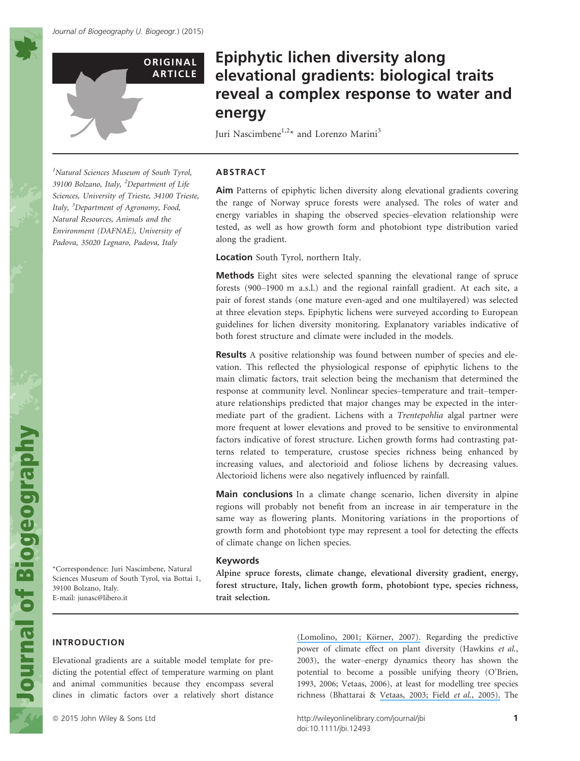

# Epiphytic lichen diversity along elevational gradients: biological traits reveal a complex response to water and energy

Juri Nascimbene<sup>1,2\*</sup> and Lorenzo Marini<sup>3</sup>

<sup>1</sup>Natural Sciences Museum of South Tyrol, 39100 Bolzano, Italy, <sup>2</sup>Department of Life Sciences, University of Trieste, 34100 Trieste, Italy, <sup>3</sup>Department of Agronomy, Food, Natural Resources, Animals and the Environment (DAFNAE), University of Padova, 35020 Legnaro, Padova, Italy

\*Correspondence: Juri Nascimbene, Natural Sciences Museum of South Tyrol, via Bottai 1, 39100 Bolzano, Italy. E-mail: junasc@libero.it

# ABSTRACT

Aim Patterns of epiphytic lichen diversity along elevational gradients covering the range of Norway spruce forests were analysed. The roles of water and energy variables in shaping the observed species–elevation relationship were tested, as well as how growth form and photobiont type distribution varied along the gradient.

Location South Tyrol, northern Italy.

Methods Eight sites were selected spanning the elevational range of spruce forests (900–1900 m a.s.l.) and the regional rainfall gradient. At each site, a pair of forest stands (one mature even-aged and one multilayered) was selected at three elevation steps. Epiphytic lichens were surveyed according to European guidelines for lichen diversity monitoring. Explanatory variables indicative of both forest structure and climate were included in the models.

Results A positive relationship was found between number of species and elevation. This reflected the physiological response of epiphytic lichens to the main climatic factors, trait selection being the mechanism that determined the response at community level. Nonlinear species–temperature and trait–temperature relationships predicted that major changes may be expected in the intermediate part of the gradient. Lichens with a Trentepohlia algal partner were more frequent at lower elevations and proved to be sensitive to environmental factors indicative of forest structure. Lichen growth forms had contrasting patterns related to temperature, crustose species richness being enhanced by increasing values, and alectorioid and foliose lichens by decreasing values. Alectorioid lichens were also negatively influenced by rainfall.

Main conclusions In a climate change scenario, lichen diversity in alpine regions will probably not benefit from an increase in air temperature in the same way as flowering plants. Monitoring variations in the proportions of growth form and photobiont type may represent a tool for detecting the effects of climate change on lichen species.

#### Keywords

Alpine spruce forests, climate change, elevational diversity gradient, energy, forest structure, Italy, lichen growth form, photobiont type, species richness, trait selection.

## INTRODUCTION

Elevational gradients are a suitable model template for predicting the potential effect of temperature warming on plant and animal communities because they encompass several clines in climatic factors over a relatively short distance (Lomolino, 2001; Körner, 2007). Regarding the predictive power of climate effect on plant diversity (Hawkins et al., 2003), the water–energy dynamics theory has shown the potential to become a possible unifying theory (O'Brien, 1993, 2006; Vetaas, 2006), at least for modelling tree species richness (Bhattarai & [Vetaas, 2003; Field](https://www.researchgate.net/publication/242605000_Global_models_for.predicting_woody_plant_richness_from_climate_Development_and_evaluation?el=1_x_8&enrichId=rgreq-9a528f57-6f17-4de3-a621-57465df93370&enrichSource=Y292ZXJQYWdlOzI3MzA2ODAwODtBUzoyMDUwNTI1OTA0NjUwMjRAMTQyNTg5OTc1NTE5OA==) et al., 2005). The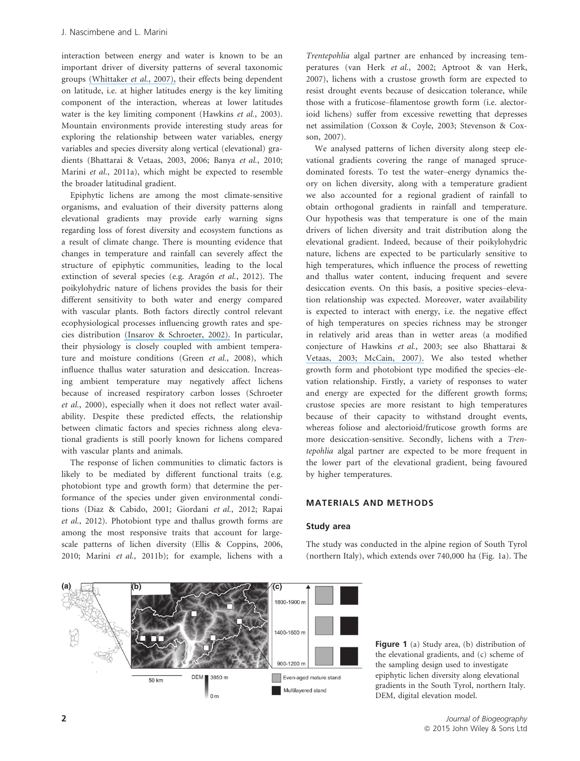interaction between energy and water is known to be an important driver of diversity patterns of several taxonomic groups [\(Whittaker](https://www.researchgate.net/publication/229722291_Geographical_gradients_of_species_richness_A_test_of_the_water-energy_conjecture_of_Hawkins_et_al._(2003)_using_European_data_for_five_taxa?el=1_x_8&enrichId=rgreq-9a528f57-6f17-4de3-a621-57465df93370&enrichSource=Y292ZXJQYWdlOzI3MzA2ODAwODtBUzoyMDUwNTI1OTA0NjUwMjRAMTQyNTg5OTc1NTE5OA==) et al., 2007), their effects being dependent on latitude, i.e. at higher latitudes energy is the key limiting component of the interaction, whereas at lower latitudes water is the key limiting component (Hawkins et al., 2003). Mountain environments provide interesting study areas for exploring the relationship between water variables, energy variables and species diversity along vertical (elevational) gradients (Bhattarai & Vetaas, 2003, 2006; Banya et al., 2010; Marini et al., 2011a), which might be expected to resemble the broader latitudinal gradient.

Epiphytic lichens are among the most climate-sensitive organisms, and evaluation of their diversity patterns along elevational gradients may provide early warning signs regarding loss of forest diversity and ecosystem functions as a result of climate change. There is mounting evidence that changes in temperature and rainfall can severely affect the structure of epiphytic communities, leading to the local extinction of several species (e.g. Aragón et al., 2012). The poikylohydric nature of lichens provides the basis for their different sensitivity to both water and energy compared with vascular plants. Both factors directly control relevant ecophysiological processes influencing growth rates and species distribution [\(Insarov & Schroeter, 2002\).](https://www.researchgate.net/publication/230604176_Lichen_Monitoring_and_Climate_Change?el=1_x_8&enrichId=rgreq-9a528f57-6f17-4de3-a621-57465df93370&enrichSource=Y292ZXJQYWdlOzI3MzA2ODAwODtBUzoyMDUwNTI1OTA0NjUwMjRAMTQyNTg5OTc1NTE5OA==) In particular, their physiology is closely coupled with ambient temperature and moisture conditions (Green et al., 2008), which influence thallus water saturation and desiccation. Increasing ambient temperature may negatively affect lichens because of increased respiratory carbon losses (Schroeter et al., 2000), especially when it does not reflect water availability. Despite these predicted effects, the relationship between climatic factors and species richness along elevational gradients is still poorly known for lichens compared with vascular plants and animals.

The response of lichen communities to climatic factors is likely to be mediated by different functional traits (e.g. photobiont type and growth form) that determine the performance of the species under given environmental conditions (Diaz & Cabido, 2001; Giordani et al., 2012; Rapai et al., 2012). Photobiont type and thallus growth forms are among the most responsive traits that account for largescale patterns of lichen diversity (Ellis & Coppins, 2006, 2010; Marini et al., 2011b); for example, lichens with a Trentepohlia algal partner are enhanced by increasing temperatures (van Herk et al., 2002; Aptroot & van Herk, 2007), lichens with a crustose growth form are expected to resist drought events because of desiccation tolerance, while those with a fruticose–filamentose growth form (i.e. alectorioid lichens) suffer from excessive rewetting that depresses net assimilation (Coxson & Coyle, 2003; Stevenson & Coxson, 2007).

We analysed patterns of lichen diversity along steep elevational gradients covering the range of managed sprucedominated forests. To test the water–energy dynamics theory on lichen diversity, along with a temperature gradient we also accounted for a regional gradient of rainfall to obtain orthogonal gradients in rainfall and temperature. Our hypothesis was that temperature is one of the main drivers of lichen diversity and trait distribution along the elevational gradient. Indeed, because of their poikylohydric nature, lichens are expected to be particularly sensitive to high temperatures, which influence the process of rewetting and thallus water content, inducing frequent and severe desiccation events. On this basis, a positive species–elevation relationship was expected. Moreover, water availability is expected to interact with energy, i.e. the negative effect of high temperatures on species richness may be stronger in relatively arid areas than in wetter areas (a modified conjecture of Hawkins et al., 2003; see also Bhattarai & [Vetaas, 2003; McCain, 2007\).](https://www.researchgate.net/publication/227703964_Could_temperature_and_water_availability_drive_elevational_species_richness_A_global_case_study_for_bats?el=1_x_8&enrichId=rgreq-9a528f57-6f17-4de3-a621-57465df93370&enrichSource=Y292ZXJQYWdlOzI3MzA2ODAwODtBUzoyMDUwNTI1OTA0NjUwMjRAMTQyNTg5OTc1NTE5OA==) We also tested whether growth form and photobiont type modified the species–elevation relationship. Firstly, a variety of responses to water and energy are expected for the different growth forms; crustose species are more resistant to high temperatures because of their capacity to withstand drought events, whereas foliose and alectorioid/fruticose growth forms are more desiccation-sensitive. Secondly, lichens with a Trentepohlia algal partner are expected to be more frequent in the lower part of the elevational gradient, being favoured by higher temperatures.

# MATERIALS AND METHODS

# Study area

The study was conducted in the alpine region of South Tyrol (northern Italy), which extends over 740,000 ha (Fig. 1a). The



Figure 1 (a) Study area, (b) distribution of the elevational gradients, and (c) scheme of the sampling design used to investigate epiphytic lichen diversity along elevational gradients in the South Tyrol, northern Italy. DEM, digital elevation model.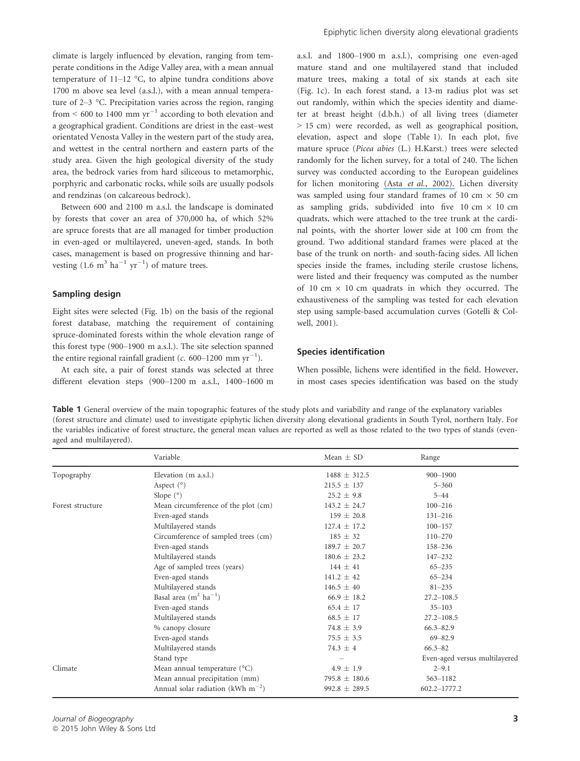climate is largely influenced by elevation, ranging from temperate conditions in the Adige Valley area, with a mean annual temperature of 11–12 °C, to alpine tundra conditions above 1700 m above sea level (a.s.l.), with a mean annual temperature of 2–3 °C. Precipitation varies across the region, ranging from  $\leq 600$  to 1400 mm yr<sup>-1</sup> according to both elevation and a geographical gradient. Conditions are driest in the east–west orientated Venosta Valley in the western part of the study area, and wettest in the central northern and eastern parts of the study area. Given the high geological diversity of the study area, the bedrock varies from hard siliceous to metamorphic, porphyric and carbonatic rocks, while soils are usually podsols and rendzinas (on calcareous bedrock).

Between 600 and 2100 m a.s.l. the landscape is dominated by forests that cover an area of 370,000 ha, of which 52% are spruce forests that are all managed for timber production in even-aged or multilayered, uneven-aged, stands. In both cases, management is based on progressive thinning and harvesting  $(1.6 \text{ m}^3 \text{ ha}^{-1} \text{ yr}^{-1})$  of mature trees.

#### Sampling design

Eight sites were selected (Fig. 1b) on the basis of the regional forest database, matching the requirement of containing spruce-dominated forests within the whole elevation range of this forest type (900–1900 m a.s.l.). The site selection spanned the entire regional rainfall gradient ( $c.$  600–1200 mm yr $^{-1}$ ).

At each site, a pair of forest stands was selected at three different elevation steps (900–1200 m a.s.l., 1400–1600 m

a.s.l. and 1800–1900 m a.s.l.), comprising one even-aged mature stand and one multilayered stand that included mature trees, making a total of six stands at each site (Fig. 1c). In each forest stand, a 13-m radius plot was set out randomly, within which the species identity and diameter at breast height (d.b.h.) of all living trees (diameter > 15 cm) were recorded, as well as geographical position, elevation, aspect and slope (Table 1). In each plot, five mature spruce (Picea abies (L.) H.Karst.) trees were selected randomly for the lichen survey, for a total of 240. The lichen survey was conducted according to the European guidelines for lichen monitoring (Asta et al.[, 2002\).](https://www.researchgate.net/publication/229071347_Mapping_Lichen_Diversity_as_an_Indicator_of_Environmental_Quality?el=1_x_8&enrichId=rgreq-9a528f57-6f17-4de3-a621-57465df93370&enrichSource=Y292ZXJQYWdlOzI3MzA2ODAwODtBUzoyMDUwNTI1OTA0NjUwMjRAMTQyNTg5OTc1NTE5OA==) Lichen diversity was sampled using four standard frames of 10 cm  $\times$  50 cm as sampling grids, subdivided into five 10 cm  $\times$  10 cm quadrats, which were attached to the tree trunk at the cardinal points, with the shorter lower side at 100 cm from the ground. Two additional standard frames were placed at the base of the trunk on north- and south-facing sides. All lichen species inside the frames, including sterile crustose lichens, were listed and their frequency was computed as the number of 10 cm  $\times$  10 cm quadrats in which they occurred. The exhaustiveness of the sampling was tested for each elevation step using sample-based accumulation curves (Gotelli & Colwell, 2001).

#### Species identification

When possible, lichens were identified in the field. However, in most cases species identification was based on the study

Table 1 General overview of the main topographic features of the study plots and variability and range of the explanatory variables (forest structure and climate) used to investigate epiphytic lichen diversity along elevational gradients in South Tyrol, northern Italy. For the variables indicative of forest structure, the general mean values are reported as well as those related to the two types of stands (evenaged and multilayered).

|                  | Variable                               | Mean $\pm$ SD     | Range                         |  |  |
|------------------|----------------------------------------|-------------------|-------------------------------|--|--|
| Topography       | Elevation (m a.s.l.)                   | $1488 \pm 312.5$  | $900 - 1900$                  |  |  |
|                  | Aspect $(°)$                           | $215.5 \pm 137$   | $5 - 360$                     |  |  |
|                  | Slope $(°)$                            | $25.2 \pm 9.8$    | $5 - 44$                      |  |  |
| Forest structure | Mean circumference of the plot (cm)    | $143.2 \pm 24.7$  | $100 - 216$                   |  |  |
|                  | Even-aged stands                       | $159 \pm 20.8$    | $131 - 216$                   |  |  |
|                  | Multilayered stands                    | $127.4 \pm 17.2$  | $100 - 157$                   |  |  |
|                  | Circumference of sampled trees (cm)    | $185 \pm 32$      | $110 - 270$                   |  |  |
|                  | Even-aged stands                       | $189.7 \pm 20.7$  | 158-236                       |  |  |
|                  | Multilayered stands                    | $180.6 \pm 23.2$  | $147 - 232$                   |  |  |
|                  | Age of sampled trees (years)           | $144 \pm 41$      | $65 - 235$                    |  |  |
|                  | Even-aged stands                       | $141.2 \pm 42$    | $65 - 234$                    |  |  |
|                  | Multilayered stands                    | $146.5 \pm 40$    | $81 - 235$                    |  |  |
|                  | Basal area $(m^2 \text{ ha}^{-1})$     | $66.9 \pm 18.2$   | $27.2 - 108.5$                |  |  |
|                  | Even-aged stands                       | $65.4 \pm 17$     | $35 - 103$                    |  |  |
|                  | Multilayered stands                    | $68.5 \pm 17$     | $27.2 - 108.5$                |  |  |
|                  | % canopy closure                       | $74.8 \pm 3.9$    | $66.3 - 82.9$                 |  |  |
|                  | Even-aged stands                       | $75.5 \pm 3.5$    | $69 - 82.9$                   |  |  |
|                  | Multilayered stands                    | 74.3 $\pm$ 4      | $66.3 - 82$                   |  |  |
|                  | Stand type                             |                   | Even-aged versus multilayered |  |  |
| Climate          | Mean annual temperature (°C)           | $4.9 \pm 1.9$     | $2 - 9.1$                     |  |  |
|                  | Mean annual precipitation (mm)         | $795.8 \pm 180.6$ | $563 - 1182$                  |  |  |
|                  | Annual solar radiation (kWh $m^{-2}$ ) | $992.8 \pm 289.5$ | $602.2 - 1777.2$              |  |  |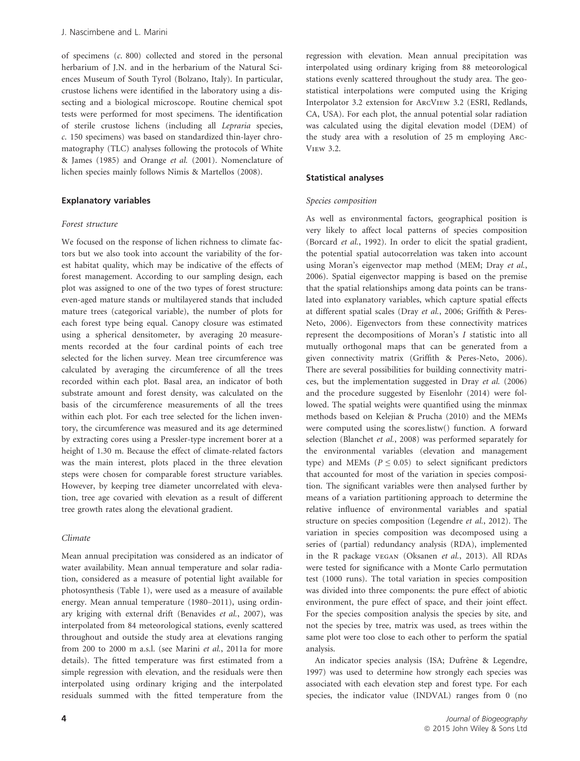of specimens (c. 800) collected and stored in the personal herbarium of J.N. and in the herbarium of the Natural Sciences Museum of South Tyrol (Bolzano, Italy). In particular, crustose lichens were identified in the laboratory using a dissecting and a biological microscope. Routine chemical spot tests were performed for most specimens. The identification of sterile crustose lichens (including all Lepraria species, c. 150 specimens) was based on standardized thin-layer chromatography (TLC) analyses following the protocols of White & James (1985) and Orange et al. (2001). Nomenclature of lichen species mainly follows Nimis & Martellos (2008).

#### Explanatory variables

# Forest structure

We focused on the response of lichen richness to climate factors but we also took into account the variability of the forest habitat quality, which may be indicative of the effects of forest management. According to our sampling design, each plot was assigned to one of the two types of forest structure: even-aged mature stands or multilayered stands that included mature trees (categorical variable), the number of plots for each forest type being equal. Canopy closure was estimated using a spherical densitometer, by averaging 20 measurements recorded at the four cardinal points of each tree selected for the lichen survey. Mean tree circumference was calculated by averaging the circumference of all the trees recorded within each plot. Basal area, an indicator of both substrate amount and forest density, was calculated on the basis of the circumference measurements of all the trees within each plot. For each tree selected for the lichen inventory, the circumference was measured and its age determined by extracting cores using a Pressler-type increment borer at a height of 1.30 m. Because the effect of climate-related factors was the main interest, plots placed in the three elevation steps were chosen for comparable forest structure variables. However, by keeping tree diameter uncorrelated with elevation, tree age covaried with elevation as a result of different tree growth rates along the elevational gradient.

#### Climate

Mean annual precipitation was considered as an indicator of water availability. Mean annual temperature and solar radiation, considered as a measure of potential light available for photosynthesis (Table 1), were used as a measure of available energy. Mean annual temperature (1980–2011), using ordinary kriging with external drift (Benavides et al., 2007), was interpolated from 84 meteorological stations, evenly scattered throughout and outside the study area at elevations ranging from 200 to 2000 m a.s.l. (see Marini et al., 2011a for more details). The fitted temperature was first estimated from a simple regression with elevation, and the residuals were then interpolated using ordinary kriging and the interpolated residuals summed with the fitted temperature from the interpolated using ordinary kriging from 88 meteorological stations evenly scattered throughout the study area. The geostatistical interpolations were computed using the Kriging Interpolator 3.2 extension for ArcView 3.2 (ESRI, Redlands, CA, USA). For each plot, the annual potential solar radiation was calculated using the digital elevation model (DEM) of the study area with a resolution of 25 m employing Arc-View 3.2.

regression with elevation. Mean annual precipitation was

# Statistical analyses

# Species composition

As well as environmental factors, geographical position is very likely to affect local patterns of species composition (Borcard et al., 1992). In order to elicit the spatial gradient, the potential spatial autocorrelation was taken into account using Moran's eigenvector map method (MEM; Dray et al., 2006). Spatial eigenvector mapping is based on the premise that the spatial relationships among data points can be translated into explanatory variables, which capture spatial effects at different spatial scales (Dray et al., 2006; Griffith & Peres-Neto, 2006). Eigenvectors from these connectivity matrices represent the decompositions of Moran's I statistic into all mutually orthogonal maps that can be generated from a given connectivity matrix (Griffith & Peres-Neto, 2006). There are several possibilities for building connectivity matrices, but the implementation suggested in Dray et al. (2006) and the procedure suggested by Eisenlohr (2014) were followed. The spatial weights were quantified using the minmax methods based on Kelejian & Prucha (2010) and the MEMs were computed using the scores.listw() function. A forward selection (Blanchet et al., 2008) was performed separately for the environmental variables (elevation and management type) and MEMs ( $P \leq 0.05$ ) to select significant predictors that accounted for most of the variation in species composition. The significant variables were then analysed further by means of a variation partitioning approach to determine the relative influence of environmental variables and spatial structure on species composition (Legendre et al., 2012). The variation in species composition was decomposed using a series of (partial) redundancy analysis (RDA), implemented in the R package vegan (Oksanen et al., 2013). All RDAs were tested for significance with a Monte Carlo permutation test (1000 runs). The total variation in species composition was divided into three components: the pure effect of abiotic environment, the pure effect of space, and their joint effect. For the species composition analysis the species by site, and not the species by tree, matrix was used, as trees within the same plot were too close to each other to perform the spatial analysis.

An indicator species analysis (ISA; Dufrêne & Legendre, 1997) was used to determine how strongly each species was associated with each elevation step and forest type. For each species, the indicator value (INDVAL) ranges from 0 (no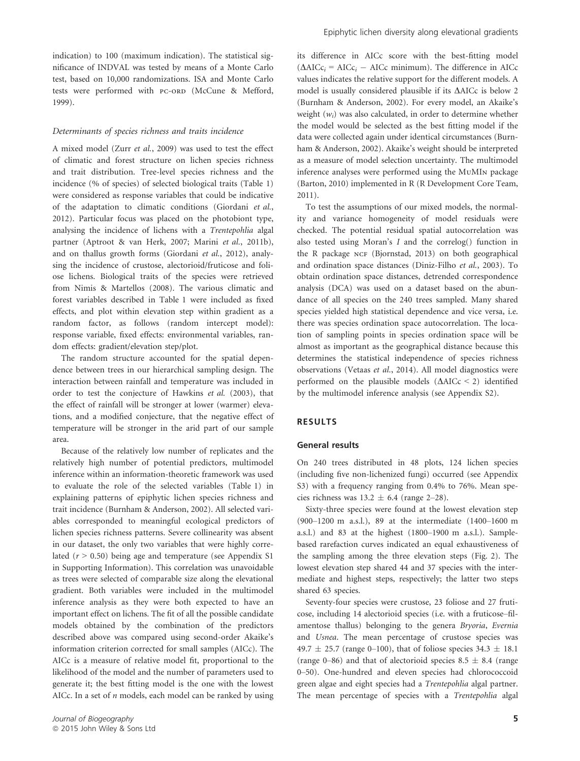indication) to 100 (maximum indication). The statistical significance of INDVAL was tested by means of a Monte Carlo test, based on 10,000 randomizations. ISA and Monte Carlo tests were performed with PC-ORD (McCune & Mefford, 1999).

#### Determinants of species richness and traits incidence

A mixed model (Zurr et al., 2009) was used to test the effect of climatic and forest structure on lichen species richness and trait distribution. Tree-level species richness and the incidence (% of species) of selected biological traits (Table 1) were considered as response variables that could be indicative of the adaptation to climatic conditions (Giordani et al., 2012). Particular focus was placed on the photobiont type, analysing the incidence of lichens with a Trentepohlia algal partner (Aptroot & van Herk, 2007; Marini et al., 2011b), and on thallus growth forms (Giordani et al., 2012), analysing the incidence of crustose, alectorioid/fruticose and foliose lichens. Biological traits of the species were retrieved from Nimis & Martellos (2008). The various climatic and forest variables described in Table 1 were included as fixed effects, and plot within elevation step within gradient as a random factor, as follows (random intercept model): response variable, fixed effects: environmental variables, random effects: gradient/elevation step/plot.

The random structure accounted for the spatial dependence between trees in our hierarchical sampling design. The interaction between rainfall and temperature was included in order to test the conjecture of Hawkins et al. (2003), that the effect of rainfall will be stronger at lower (warmer) elevations, and a modified conjecture, that the negative effect of temperature will be stronger in the arid part of our sample area.

Because of the relatively low number of replicates and the relatively high number of potential predictors, multimodel inference within an information-theoretic framework was used to evaluate the role of the selected variables (Table 1) in explaining patterns of epiphytic lichen species richness and trait incidence (Burnham & Anderson, 2002). All selected variables corresponded to meaningful ecological predictors of lichen species richness patterns. Severe collinearity was absent in our dataset, the only two variables that were highly correlated  $(r > 0.50)$  being age and temperature (see Appendix S1) in Supporting Information). This correlation was unavoidable as trees were selected of comparable size along the elevational gradient. Both variables were included in the multimodel inference analysis as they were both expected to have an important effect on lichens. The fit of all the possible candidate models obtained by the combination of the predictors described above was compared using second-order Akaike's information criterion corrected for small samples (AICc). The AICc is a measure of relative model fit, proportional to the likelihood of the model and the number of parameters used to generate it; the best fitting model is the one with the lowest AICc. In a set of  $n$  models, each model can be ranked by using its difference in AICc score with the best-fitting model  $(\Delta AICc_i = AICc_i - AICc$  minimum). The difference in AICc values indicates the relative support for the different models. A model is usually considered plausible if its  $\triangle$ AICc is below 2 (Burnham & Anderson, 2002). For every model, an Akaike's weight  $(w<sub>i</sub>)$  was also calculated, in order to determine whether the model would be selected as the best fitting model if the data were collected again under identical circumstances (Burnham & Anderson, 2002). Akaike's weight should be interpreted as a measure of model selection uncertainty. The multimodel inference analyses were performed using the MuMIn package (Barton, 2010) implemented in R (R Development Core Team, 2011).

To test the assumptions of our mixed models, the normality and variance homogeneity of model residuals were checked. The potential residual spatial autocorrelation was also tested using Moran's I and the correlog() function in the R package NCF (Bjornstad, 2013) on both geographical and ordination space distances (Diniz-Filho et al., 2003). To obtain ordination space distances, detrended correspondence analysis (DCA) was used on a dataset based on the abundance of all species on the 240 trees sampled. Many shared species yielded high statistical dependence and vice versa, i.e. there was species ordination space autocorrelation. The location of sampling points in species ordination space will be almost as important as the geographical distance because this determines the statistical independence of species richness observations (Vetaas et al., 2014). All model diagnostics were performed on the plausible models  $(\triangle AICc \leq 2)$  identified by the multimodel inference analysis (see Appendix S2).

## RESULTS

#### General results

On 240 trees distributed in 48 plots, 124 lichen species (including five non-lichenized fungi) occurred (see Appendix S3) with a frequency ranging from 0.4% to 76%. Mean species richness was  $13.2 \pm 6.4$  (range 2–28).

Sixty-three species were found at the lowest elevation step (900–1200 m a.s.l.), 89 at the intermediate (1400–1600 m a.s.l.) and 83 at the highest (1800–1900 m a.s.l.). Samplebased rarefaction curves indicated an equal exhaustiveness of the sampling among the three elevation steps (Fig. 2). The lowest elevation step shared 44 and 37 species with the intermediate and highest steps, respectively; the latter two steps shared 63 species.

Seventy-four species were crustose, 23 foliose and 27 fruticose, including 14 alectorioid species (i.e. with a fruticose–filamentose thallus) belonging to the genera Bryoria, Evernia and Usnea. The mean percentage of crustose species was 49.7  $\pm$  25.7 (range 0–100), that of foliose species 34.3  $\pm$  18.1 (range 0–86) and that of alectorioid species 8.5  $\pm$  8.4 (range 0–50). One-hundred and eleven species had chlorococcoid green algae and eight species had a Trentepohlia algal partner. The mean percentage of species with a Trentepohlia algal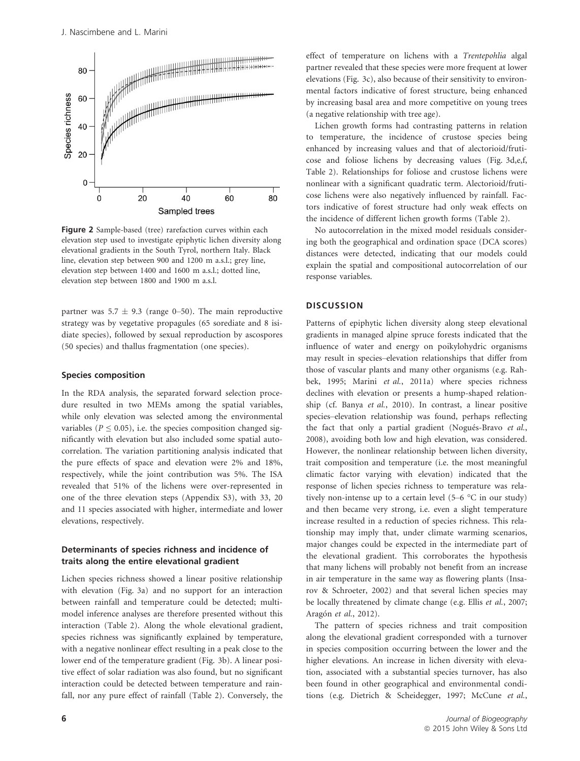

Figure 2 Sample-based (tree) rarefaction curves within each elevation step used to investigate epiphytic lichen diversity along elevational gradients in the South Tyrol, northern Italy. Black line, elevation step between 900 and 1200 m a.s.l.; grey line, elevation step between 1400 and 1600 m a.s.l.; dotted line, elevation step between 1800 and 1900 m a.s.l.

partner was  $5.7 \pm 9.3$  (range 0–50). The main reproductive strategy was by vegetative propagules (65 sorediate and 8 isidiate species), followed by sexual reproduction by ascospores (50 species) and thallus fragmentation (one species).

#### Species composition

In the RDA analysis, the separated forward selection procedure resulted in two MEMs among the spatial variables, while only elevation was selected among the environmental variables ( $P \le 0.05$ ), i.e. the species composition changed significantly with elevation but also included some spatial autocorrelation. The variation partitioning analysis indicated that the pure effects of space and elevation were 2% and 18%, respectively, while the joint contribution was 5%. The ISA revealed that 51% of the lichens were over-represented in one of the three elevation steps (Appendix S3), with 33, 20 and 11 species associated with higher, intermediate and lower elevations, respectively.

# Determinants of species richness and incidence of traits along the entire elevational gradient

Lichen species richness showed a linear positive relationship with elevation (Fig. 3a) and no support for an interaction between rainfall and temperature could be detected; multimodel inference analyses are therefore presented without this interaction (Table 2). Along the whole elevational gradient, species richness was significantly explained by temperature, with a negative nonlinear effect resulting in a peak close to the lower end of the temperature gradient (Fig. 3b). A linear positive effect of solar radiation was also found, but no significant interaction could be detected between temperature and rainfall, nor any pure effect of rainfall (Table 2). Conversely, the effect of temperature on lichens with a Trentepohlia algal partner revealed that these species were more frequent at lower elevations (Fig. 3c), also because of their sensitivity to environmental factors indicative of forest structure, being enhanced by increasing basal area and more competitive on young trees (a negative relationship with tree age).

Lichen growth forms had contrasting patterns in relation to temperature, the incidence of crustose species being enhanced by increasing values and that of alectorioid/fruticose and foliose lichens by decreasing values (Fig. 3d,e,f, Table 2). Relationships for foliose and crustose lichens were nonlinear with a significant quadratic term. Alectorioid/fruticose lichens were also negatively influenced by rainfall. Factors indicative of forest structure had only weak effects on the incidence of different lichen growth forms (Table 2).

No autocorrelation in the mixed model residuals considering both the geographical and ordination space (DCA scores) distances were detected, indicating that our models could explain the spatial and compositional autocorrelation of our response variables.

#### **DISCUSSION**

Patterns of epiphytic lichen diversity along steep elevational gradients in managed alpine spruce forests indicated that the influence of water and energy on poikylohydric organisms may result in species–elevation relationships that differ from those of vascular plants and many other organisms (e.g. Rahbek, 1995; Marini et al., 2011a) where species richness declines with elevation or presents a hump-shaped relationship (cf. Banya et al., 2010). In contrast, a linear positive species–elevation relationship was found, perhaps reflecting the fact that only a partial gradient (Nogués-Bravo et al., 2008), avoiding both low and high elevation, was considered. However, the nonlinear relationship between lichen diversity, trait composition and temperature (i.e. the most meaningful climatic factor varying with elevation) indicated that the response of lichen species richness to temperature was relatively non-intense up to a certain level (5–6 °C in our study) and then became very strong, i.e. even a slight temperature increase resulted in a reduction of species richness. This relationship may imply that, under climate warming scenarios, major changes could be expected in the intermediate part of the elevational gradient. This corroborates the hypothesis that many lichens will probably not benefit from an increase in air temperature in the same way as flowering plants (Insarov & Schroeter, 2002) and that several lichen species may be locally threatened by climate change (e.g. Ellis et al., 2007; Aragón et al., 2012).

The pattern of species richness and trait composition along the elevational gradient corresponded with a turnover in species composition occurring between the lower and the higher elevations. An increase in lichen diversity with elevation, associated with a substantial species turnover, has also been found in other geographical and environmental conditions (e.g. Dietrich & Scheidegger, 1997; McCune et al.,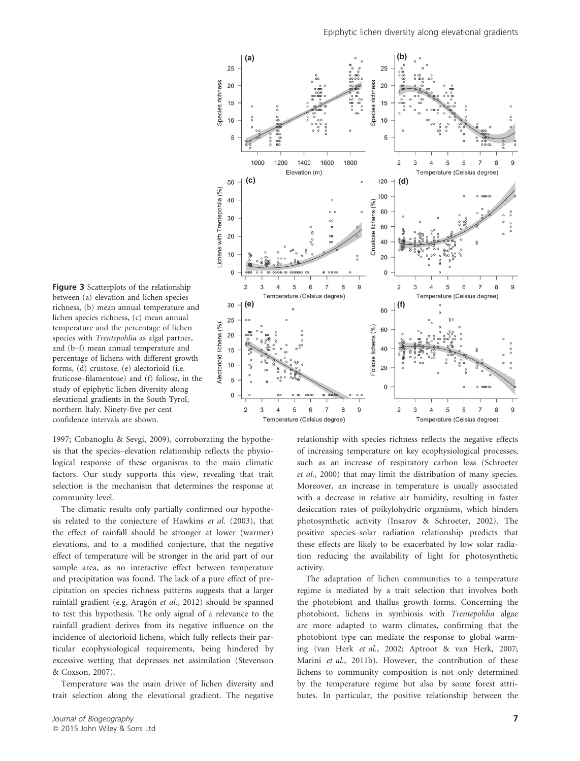

Figure 3 Scatterplots of the relationship between (a) elevation and lichen species richness, (b) mean annual temperature and lichen species richness, (c) mean annual temperature and the percentage of lichen species with Trentepohlia as algal partner, and (b–f) mean annual temperature and percentage of lichens with different growth forms, (d) crustose, (e) alectorioid (i.e. fruticose–filamentose) and (f) foliose, in the study of epiphytic lichen diversity along elevational gradients in the South Tyrol, northern Italy. Ninety-five per cent confidence intervals are shown.

1997; Cobanoglu & Sevgi, 2009), corroborating the hypothesis that the species–elevation relationship reflects the physiological response of these organisms to the main climatic factors. Our study supports this view, revealing that trait selection is the mechanism that determines the response at community level.

The climatic results only partially confirmed our hypothesis related to the conjecture of Hawkins et al. (2003), that the effect of rainfall should be stronger at lower (warmer) elevations, and to a modified conjecture, that the negative effect of temperature will be stronger in the arid part of our sample area, as no interactive effect between temperature and precipitation was found. The lack of a pure effect of precipitation on species richness patterns suggests that a larger rainfall gradient (e.g. Aragón et al., 2012) should be spanned to test this hypothesis. The only signal of a relevance to the rainfall gradient derives from its negative influence on the incidence of alectorioid lichens, which fully reflects their particular ecophysiological requirements, being hindered by excessive wetting that depresses net assimilation (Stevenson & Coxson, 2007).

Temperature was the main driver of lichen diversity and trait selection along the elevational gradient. The negative relationship with species richness reflects the negative effects of increasing temperature on key ecophysiological processes, such as an increase of respiratory carbon loss (Schroeter et al., 2000) that may limit the distribution of many species. Moreover, an increase in temperature is usually associated with a decrease in relative air humidity, resulting in faster desiccation rates of poikylohydric organisms, which hinders photosynthetic activity (Insarov & Schroeter, 2002). The positive species–solar radiation relationship predicts that these effects are likely to be exacerbated by low solar radiation reducing the availability of light for photosynthetic activity.

The adaptation of lichen communities to a temperature regime is mediated by a trait selection that involves both the photobiont and thallus growth forms. Concerning the photobiont, lichens in symbiosis with Trentepohlia algae are more adapted to warm climates, confirming that the photobiont type can mediate the response to global warming (van Herk et al., 2002; Aptroot & van Herk, 2007; Marini et al., 2011b). However, the contribution of these lichens to community composition is not only determined by the temperature regime but also by some forest attributes. In particular, the positive relationship between the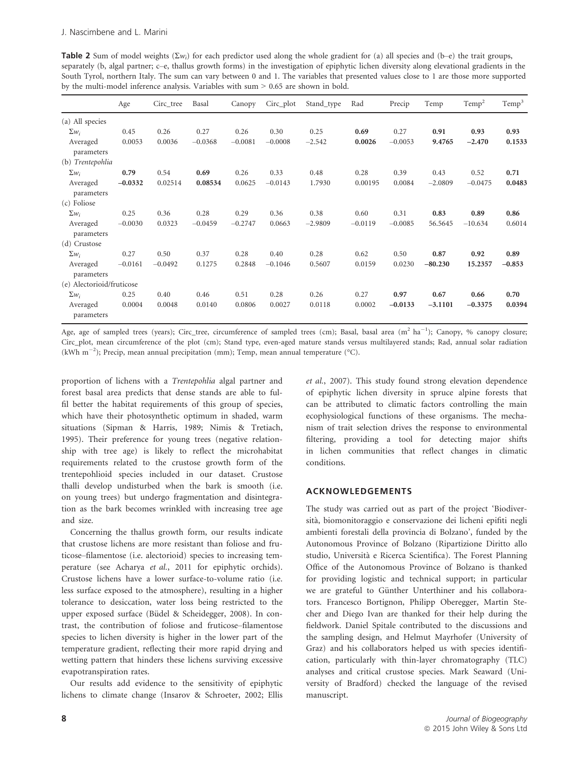**Table 2** Sum of model weights  $(\Sigma w_i)$  for each predictor used along the whole gradient for (a) all species and (b–e) the trait groups, separately (b, algal partner; c–e, thallus growth forms) in the investigation of epiphytic lichen diversity along elevational gradients in the South Tyrol, northern Italy. The sum can vary between 0 and 1. The variables that presented values close to 1 are those more supported by the multi-model inference analysis. Variables with sum  $> 0.65$  are shown in bold.

|                           | Age       | Circ_tree | Basal     | Canopy    | Circ_plot | Stand_type | Rad       | Precip    | Temp      | Temp <sup>2</sup> | Temp <sup>3</sup> |
|---------------------------|-----------|-----------|-----------|-----------|-----------|------------|-----------|-----------|-----------|-------------------|-------------------|
| (a) All species           |           |           |           |           |           |            |           |           |           |                   |                   |
| $\Sigma w_i$              | 0.45      | 0.26      | 0.27      | 0.26      | 0.30      | 0.25       | 0.69      | 0.27      | 0.91      | 0.93              | 0.93              |
| Averaged<br>parameters    | 0.0053    | 0.0036    | $-0.0368$ | $-0.0081$ | $-0.0008$ | $-2.542$   | 0.0026    | $-0.0053$ | 9.4765    | $-2.470$          | 0.1533            |
| (b) Trentepohlia          |           |           |           |           |           |            |           |           |           |                   |                   |
| $\Sigma w_i$              | 0.79      | 0.54      | 0.69      | 0.26      | 0.33      | 0.48       | 0.28      | 0.39      | 0.43      | 0.52              | 0.71              |
| Averaged<br>parameters    | $-0.0332$ | 0.02514   | 0.08534   | 0.0625    | $-0.0143$ | 1.7930     | 0.00195   | 0.0084    | $-2.0809$ | $-0.0475$         | 0.0483            |
| (c) Foliose               |           |           |           |           |           |            |           |           |           |                   |                   |
| $\Sigma w_i$              | 0.25      | 0.36      | 0.28      | 0.29      | 0.36      | 0.38       | 0.60      | 0.31      | 0.83      | 0.89              | 0.86              |
| Averaged<br>parameters    | $-0.0030$ | 0.0323    | $-0.0459$ | $-0.2747$ | 0.0663    | $-2.9809$  | $-0.0119$ | $-0.0085$ | 56.5645   | $-10.634$         | 0.6014            |
| (d) Crustose              |           |           |           |           |           |            |           |           |           |                   |                   |
| $\Sigma w_i$              | 0.27      | 0.50      | 0.37      | 0.28      | 0.40      | 0.28       | 0.62      | 0.50      | 0.87      | 0.92              | 0.89              |
| Averaged<br>parameters    | $-0.0161$ | $-0.0492$ | 0.1275    | 0.2848    | $-0.1046$ | 0.5607     | 0.0159    | 0.0230    | $-80.230$ | 15.2357           | $-0.853$          |
| (e) Alectorioid/fruticose |           |           |           |           |           |            |           |           |           |                   |                   |
| $\Sigma w_i$              | 0.25      | 0.40      | 0.46      | 0.51      | 0.28      | 0.26       | 0.27      | 0.97      | 0.67      | 0.66              | 0.70              |
| Averaged<br>parameters    | 0.0004    | 0.0048    | 0.0140    | 0.0806    | 0.0027    | 0.0118     | 0.0002    | $-0.0133$ | $-3.1101$ | $-0.3375$         | 0.0394            |

Age, age of sampled trees (years); Circ\_tree, circumference of sampled trees (cm); Basal, basal area (m<sup>2</sup> ha<sup>-1</sup>); Canopy, % canopy closure; Circ\_plot, mean circumference of the plot (cm); Stand type, even-aged mature stands versus multilayered stands; Rad, annual solar radiation (kWh m<sup>-2</sup>); Precip, mean annual precipitation (mm); Temp, mean annual temperature (°C).

proportion of lichens with a Trentepohlia algal partner and forest basal area predicts that dense stands are able to fulfil better the habitat requirements of this group of species, which have their photosynthetic optimum in shaded, warm situations (Sipman & Harris, 1989; Nimis & Tretiach, 1995). Their preference for young trees (negative relationship with tree age) is likely to reflect the microhabitat requirements related to the crustose growth form of the trentepohlioid species included in our dataset. Crustose thalli develop undisturbed when the bark is smooth (i.e. on young trees) but undergo fragmentation and disintegration as the bark becomes wrinkled with increasing tree age and size.

Concerning the thallus growth form, our results indicate that crustose lichens are more resistant than foliose and fruticose–filamentose (i.e. alectorioid) species to increasing temperature (see Acharya et al., 2011 for epiphytic orchids). Crustose lichens have a lower surface-to-volume ratio (i.e. less surface exposed to the atmosphere), resulting in a higher tolerance to desiccation, water loss being restricted to the upper exposed surface (Büdel & Scheidegger, 2008). In contrast, the contribution of foliose and fruticose–filamentose species to lichen diversity is higher in the lower part of the temperature gradient, reflecting their more rapid drying and wetting pattern that hinders these lichens surviving excessive evapotranspiration rates.

Our results add evidence to the sensitivity of epiphytic lichens to climate change (Insarov & Schroeter, 2002; Ellis et al., 2007). This study found strong elevation dependence of epiphytic lichen diversity in spruce alpine forests that can be attributed to climatic factors controlling the main ecophysiological functions of these organisms. The mechanism of trait selection drives the response to environmental filtering, providing a tool for detecting major shifts in lichen communities that reflect changes in climatic conditions.

# ACKNOWLEDGEMENTS

The study was carried out as part of the project 'Biodiversita, biomonitoraggio e conservazione dei licheni epifiti negli ambienti forestali della provincia di Bolzano', funded by the Autonomous Province of Bolzano (Ripartizione Diritto allo studio, Universita e Ricerca Scientifica). The Forest Planning Office of the Autonomous Province of Bolzano is thanked for providing logistic and technical support; in particular we are grateful to Günther Unterthiner and his collaborators. Francesco Bortignon, Philipp Oberegger, Martin Stecher and Diego Ivan are thanked for their help during the fieldwork. Daniel Spitale contributed to the discussions and the sampling design, and Helmut Mayrhofer (University of Graz) and his collaborators helped us with species identification, particularly with thin-layer chromatography (TLC) analyses and critical crustose species. Mark Seaward (University of Bradford) checked the language of the revised manuscript.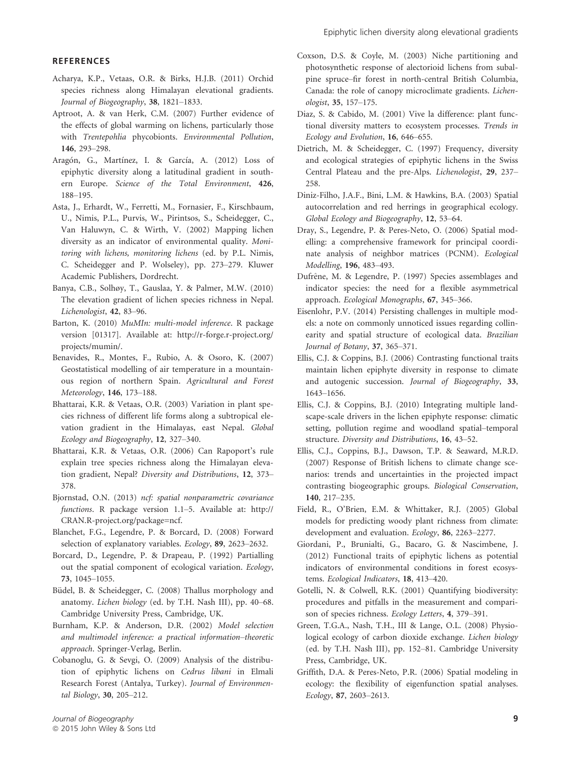#### **REFERENCES**

- Acharya, K.P., Vetaas, O.R. & Birks, H.J.B. (2011) Orchid species richness along Himalayan elevational gradients. Journal of Biogeography, 38, 1821–1833.
- Aptroot, A. & van Herk, C.M. (2007) Further evidence of the effects of global warming on lichens, particularly those with Trentepohlia phycobionts. Environmental Pollution, 146, 293–298.
- Aragón, G., Martínez, I. & García, A. (2012) Loss of epiphytic diversity along a latitudinal gradient in southern Europe. Science of the Total Environment, 426, 188–195.
- Asta, J., Erhardt, W., Ferretti, M., Fornasier, F., Kirschbaum, U., Nimis, P.L., Purvis, W., Pirintsos, S., Scheidegger, C., Van Haluwyn, C. & Wirth, V. (2002) Mapping lichen diversity as an indicator of environmental quality. Monitoring with lichens, monitoring lichens (ed. by P.L. Nimis, C. Scheidegger and P. Wolseley), pp. 273–279. Kluwer Academic Publishers, Dordrecht.
- Banya, C.B., Solhøy, T., Gauslaa, Y. & Palmer, M.W. (2010) The elevation gradient of lichen species richness in Nepal. Lichenologist, 42, 83–96.
- Barton, K. (2010) MuMIn: multi-model inference. R package version [01317]. Available at: [http://r-forge.r-project.org/](http://r-forge.r-project.org/projects/mumin/) [projects/mumin/.](http://r-forge.r-project.org/projects/mumin/)
- Benavides, R., Montes, F., Rubio, A. & Osoro, K. (2007) Geostatistical modelling of air temperature in a mountainous region of northern Spain. Agricultural and Forest Meteorology, 146, 173–188.
- Bhattarai, K.R. & Vetaas, O.R. (2003) Variation in plant species richness of different life forms along a subtropical elevation gradient in the Himalayas, east Nepal. Global Ecology and Biogeography, 12, 327–340.
- Bhattarai, K.R. & Vetaas, O.R. (2006) Can Rapoport's rule explain tree species richness along the Himalayan elevation gradient, Nepal? Diversity and Distributions, 12, 373– 378.
- Bjornstad, O.N. (2013) ncf: spatial nonparametric covariance functions. R package version 1.1–5. Available at: [http://](http://CRAN.R-project.org/package=ncf) [CRAN.R-project.org/package=ncf](http://CRAN.R-project.org/package=ncf).
- Blanchet, F.G., Legendre, P. & Borcard, D. (2008) Forward selection of explanatory variables. Ecology, 89, 2623–2632.
- Borcard, D., Legendre, P. & Drapeau, P. (1992) Partialling out the spatial component of ecological variation. Ecology, 73, 1045–1055.
- Büdel, B. & Scheidegger, C. (2008) Thallus morphology and anatomy. Lichen biology (ed. by T.H. Nash III), pp. 40–68. Cambridge University Press, Cambridge, UK.
- Burnham, K.P. & Anderson, D.R. (2002) Model selection and multimodel inference: a practical information–theoretic approach. Springer-Verlag, Berlin.
- Cobanoglu, G. & Sevgi, O. (2009) Analysis of the distribution of epiphytic lichens on Cedrus libani in Elmali Research Forest (Antalya, Turkey). Journal of Environmental Biology, 30, 205–212.
- Coxson, D.S. & Coyle, M. (2003) Niche partitioning and photosynthetic response of alectorioid lichens from subalpine spruce–fir forest in north-central British Columbia, Canada: the role of canopy microclimate gradients. Lichenologist, 35, 157–175.
- Diaz, S. & Cabido, M. (2001) Vive la difference: plant functional diversity matters to ecosystem processes. Trends in Ecology and Evolution, 16, 646–655.
- Dietrich, M. & Scheidegger, C. (1997) Frequency, diversity and ecological strategies of epiphytic lichens in the Swiss Central Plateau and the pre-Alps. Lichenologist, 29, 237– 258.
- Diniz-Filho, J.A.F., Bini, L.M. & Hawkins, B.A. (2003) Spatial autocorrelation and red herrings in geographical ecology. Global Ecology and Biogeography, 12, 53–64.
- Dray, S., Legendre, P. & Peres-Neto, O. (2006) Spatial modelling: a comprehensive framework for principal coordinate analysis of neighbor matrices (PCNM). Ecological Modelling, 196, 483–493.
- Dufrêne, M. & Legendre, P. (1997) Species assemblages and indicator species: the need for a flexible asymmetrical approach. Ecological Monographs, 67, 345–366.
- Eisenlohr, P.V. (2014) Persisting challenges in multiple models: a note on commonly unnoticed issues regarding collinearity and spatial structure of ecological data. Brazilian Journal of Botany, 37, 365–371.
- Ellis, C.J. & Coppins, B.J. (2006) Contrasting functional traits maintain lichen epiphyte diversity in response to climate and autogenic succession. Journal of Biogeography, 33, 1643–1656.
- Ellis, C.J. & Coppins, B.J. (2010) Integrating multiple landscape-scale drivers in the lichen epiphyte response: climatic setting, pollution regime and woodland spatial–temporal structure. Diversity and Distributions, 16, 43–52.
- Ellis, C.J., Coppins, B.J., Dawson, T.P. & Seaward, M.R.D. (2007) Response of British lichens to climate change scenarios: trends and uncertainties in the projected impact contrasting biogeographic groups. Biological Conservation, 140, 217–235.
- Field, R., O'Brien, E.M. & Whittaker, R.J. (2005) Global models for predicting woody plant richness from climate: development and evaluation. Ecology, 86, 2263–2277.
- Giordani, P., Brunialti, G., Bacaro, G. & Nascimbene, J. (2012) Functional traits of epiphytic lichens as potential indicators of environmental conditions in forest ecosystems. Ecological Indicators, 18, 413–420.
- Gotelli, N. & Colwell, R.K. (2001) Quantifying biodiversity: procedures and pitfalls in the measurement and comparison of species richness. Ecology Letters, 4, 379–391.
- Green, T.G.A., Nash, T.H., III & Lange, O.L. (2008) Physiological ecology of carbon dioxide exchange. Lichen biology (ed. by T.H. Nash III), pp. 152–81. Cambridge University Press, Cambridge, UK.
- Griffith, D.A. & Peres-Neto, P.R. (2006) Spatial modeling in ecology: the flexibility of eigenfunction spatial analyses. Ecology, 87, 2603–2613.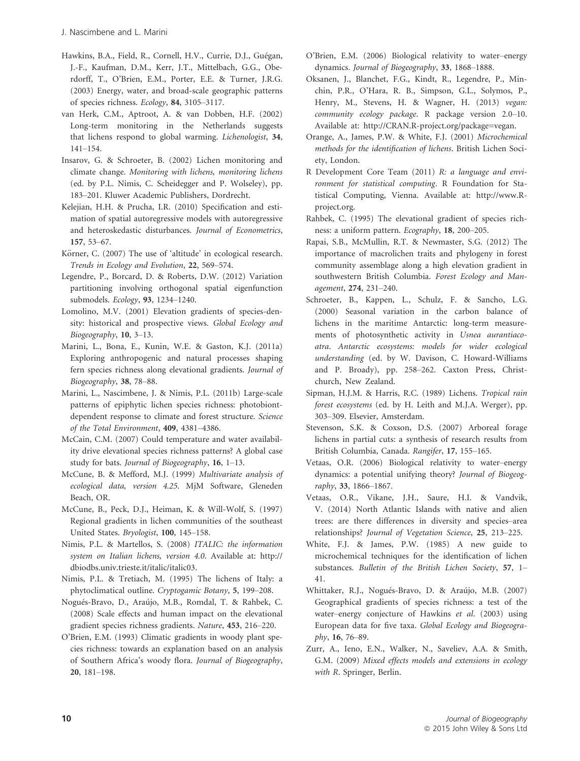- Hawkins, B.A., Field, R., Cornell, H.V., Currie, D.J., Guégan, J.-F., Kaufman, D.M., Kerr, J.T., Mittelbach, G.G., Oberdorff, T., O'Brien, E.M., Porter, E.E. & Turner, J.R.G. (2003) Energy, water, and broad-scale geographic patterns of species richness. Ecology, 84, 3105–3117.
- van Herk, C.M., Aptroot, A. & van Dobben, H.F. (2002) Long-term monitoring in the Netherlands suggests that lichens respond to global warming. Lichenologist, 34, 141–154.
- Insarov, G. & Schroeter, B. (2002) Lichen monitoring and climate change. Monitoring with lichens, monitoring lichens (ed. by P.L. Nimis, C. Scheidegger and P. Wolseley), pp. 183–201. Kluwer Academic Publishers, Dordrecht.
- Kelejian, H.H. & Prucha, I.R. (2010) Specification and estimation of spatial autoregressive models with autoregressive and heteroskedastic disturbances. Journal of Econometrics, 157, 53–67.
- Körner, C. (2007) The use of 'altitude' in ecological research. Trends in Ecology and Evolution, 22, 569–574.
- Legendre, P., Borcard, D. & Roberts, D.W. (2012) Variation partitioning involving orthogonal spatial eigenfunction submodels. Ecology, 93, 1234–1240.
- Lomolino, M.V. (2001) Elevation gradients of species-density: historical and prospective views. Global Ecology and Biogeography, 10, 3–13.
- Marini, L., Bona, E., Kunin, W.E. & Gaston, K.J. (2011a) Exploring anthropogenic and natural processes shaping fern species richness along elevational gradients. Journal of Biogeography, 38, 78–88.
- Marini, L., Nascimbene, J. & Nimis, P.L. (2011b) Large-scale patterns of epiphytic lichen species richness: photobiontdependent response to climate and forest structure. Science of the Total Environment, 409, 4381–4386.
- McCain, C.M. (2007) Could temperature and water availability drive elevational species richness patterns? A global case study for bats. Journal of Biogeography, 16, 1–13.
- McCune, B. & Mefford, M.J. (1999) Multivariate analysis of ecological data, version 4.25. MjM Software, Gleneden Beach, OR.
- McCune, B., Peck, D.J., Heiman, K. & Will-Wolf, S. (1997) Regional gradients in lichen communities of the southeast United States. Bryologist, 100, 145–158.
- Nimis, P.L. & Martellos, S. (2008) ITALIC: the information system on Italian lichens, version 4.0. Available at: [http://](http://dbiodbs.univ.trieste.it/italic/italic03) [dbiodbs.univ.trieste.it/italic/italic03](http://dbiodbs.univ.trieste.it/italic/italic03).
- Nimis, P.L. & Tretiach, M. (1995) The lichens of Italy: a phytoclimatical outline. Cryptogamic Botany, 5, 199–208.
- Nogués-Bravo, D., Araújo, M.B., Romdal, T. & Rahbek, C. (2008) Scale effects and human impact on the elevational gradient species richness gradients. Nature, 453, 216–220.
- O'Brien, E.M. (1993) Climatic gradients in woody plant species richness: towards an explanation based on an analysis of Southern Africa's woody flora. Journal of Biogeography, 20, 181–198.
- O'Brien, E.M. (2006) Biological relativity to water–energy dynamics. Journal of Biogeography, 33, 1868–1888.
- Oksanen, J., Blanchet, F.G., Kindt, R., Legendre, P., Minchin, P.R., O'Hara, R. B., Simpson, G.L., Solymos, P., Henry, M., Stevens, H. & Wagner, H. (2013) vegan: community ecology package. R package version 2.0–10. Available at:<http://CRAN.R-project.org/package=vegan>.
- Orange, A., James, P.W. & White, F.J. (2001) Microchemical methods for the identification of lichens. British Lichen Society, London.
- R Development Core Team (2011) R: a language and environment for statistical computing. R Foundation for Statistical Computing, Vienna. Available at: [http://www.R](http://www.R-project.org)[project.org.](http://www.R-project.org)
- Rahbek, C. (1995) The elevational gradient of species richness: a uniform pattern. Ecography, 18, 200–205.
- Rapai, S.B., McMullin, R.T. & Newmaster, S.G. (2012) The importance of macrolichen traits and phylogeny in forest community assemblage along a high elevation gradient in southwestern British Columbia. Forest Ecology and Management, 274, 231–240.
- Schroeter, B., Kappen, L., Schulz, F. & Sancho, L.G. (2000) Seasonal variation in the carbon balance of lichens in the maritime Antarctic: long-term measurements of photosynthetic activity in Usnea aurantiacoatra. Antarctic ecosystems: models for wider ecological understanding (ed. by W. Davison, C. Howard-Williams and P. Broady), pp. 258–262. Caxton Press, Christchurch, New Zealand.
- Sipman, H.J.M. & Harris, R.C. (1989) Lichens. Tropical rain forest ecosystems (ed. by H. Leith and M.J.A. Werger), pp. 303–309. Elsevier, Amsterdam.
- Stevenson, S.K. & Coxson, D.S. (2007) Arboreal forage lichens in partial cuts: a synthesis of research results from British Columbia, Canada. Rangifer, 17, 155–165.
- Vetaas, O.R. (2006) Biological relativity to water–energy dynamics: a potential unifying theory? Journal of Biogeography, 33, 1866–1867.
- Vetaas, O.R., Vikane, J.H., Saure, H.I. & Vandvik, V. (2014) North Atlantic Islands with native and alien trees: are there differences in diversity and species–area relationships? Journal of Vegetation Science, 25, 213–225.
- White, F.J. & James, P.W. (1985) A new guide to microchemical techniques for the identification of lichen substances. Bulletin of the British Lichen Society, 57, 1– 41.
- Whittaker, R.J., Nogués-Bravo, D. & Araújo, M.B. (2007) Geographical gradients of species richness: a test of the water–energy conjecture of Hawkins et al. (2003) using European data for five taxa. Global Ecology and Biogeography, 16, 76–89.
- Zurr, A., Ieno, E.N., Walker, N., Saveliev, A.A. & Smith, G.M. (2009) Mixed effects models and extensions in ecology with R. Springer, Berlin.